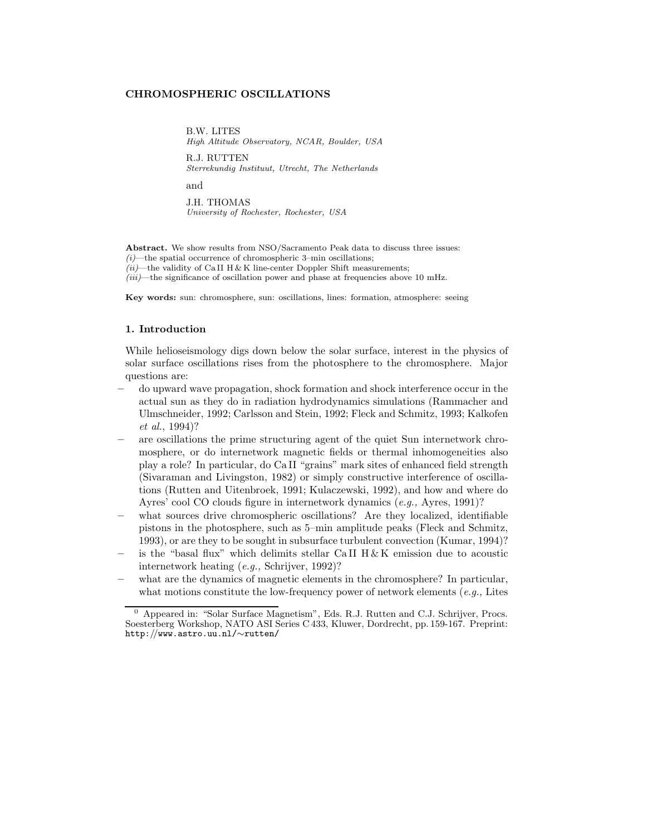## **CHROMOSPHERIC OSCILLATIONS**

B.W. LITES *High Altitude Observatory, NCAR, Boulder, USA* R.J. RUTTEN *Sterrekundig Instituut, Utrecht, The Netherlands*

and

J.H. THOMAS *University of Rochester, Rochester, USA*

**Abstract.** We show results from NSO/Sacramento Peak data to discuss three issues: *(i)*—the spatial occurrence of chromospheric 3–min oscillations;  $(ii)$ —the validity of Ca II H & K line-center Doppler Shift measurements; *(iii)*—the significance of oscillation power and phase at frequencies above 10 mHz.

**Key words:** sun: chromosphere, sun: oscillations, lines: formation, atmosphere: seeing

## **1. Introduction**

While helioseismology digs down below the solar surface, interest in the physics of solar surface oscillations rises from the photosphere to the chromosphere. Major questions are:

- **–** do upward wave propagation, shock formation and shock interference occur in the actual sun as they do in radiation hydrodynamics simulations (Rammacher and Ulmschneider, 1992; Carlsson and Stein, 1992; Fleck and Schmitz, 1993; Kalkofen *et al.*, 1994)?
- **–** are oscillations the prime structuring agent of the quiet Sun internetwork chromosphere, or do internetwork magnetic fields or thermal inhomogeneities also play a role? In particular, do Ca II "grains" mark sites of enhanced field strength (Sivaraman and Livingston, 1982) or simply constructive interference of oscillations (Rutten and Uitenbroek, 1991; Kulaczewski, 1992), and how and where do Ayres' cool CO clouds figure in internetwork dynamics (*e.g.,* Ayres, 1991)?
- **–** what sources drive chromospheric oscillations? Are they localized, identifiable pistons in the photosphere, such as 5–min amplitude peaks (Fleck and Schmitz, 1993), or are they to be sought in subsurface turbulent convection (Kumar, 1994)?
- **–** is the "basal flux" which delimits stellar Ca II H & K emission due to acoustic internetwork heating (*e.g.,* Schrijver, 1992)?
- **–** what are the dynamics of magnetic elements in the chromosphere? In particular, what motions constitute the low-frequency power of network elements (*e.g.,* Lites

<sup>0</sup> Appeared in: "Solar Surface Magnetism", Eds. R.J. Rutten and C.J. Schrijver, Procs. Soesterberg Workshop, NATO ASI Series C 433, Kluwer, Dordrecht, pp. 159-167. Preprint: http:*//*www.astro.uu.nl/∼rutten/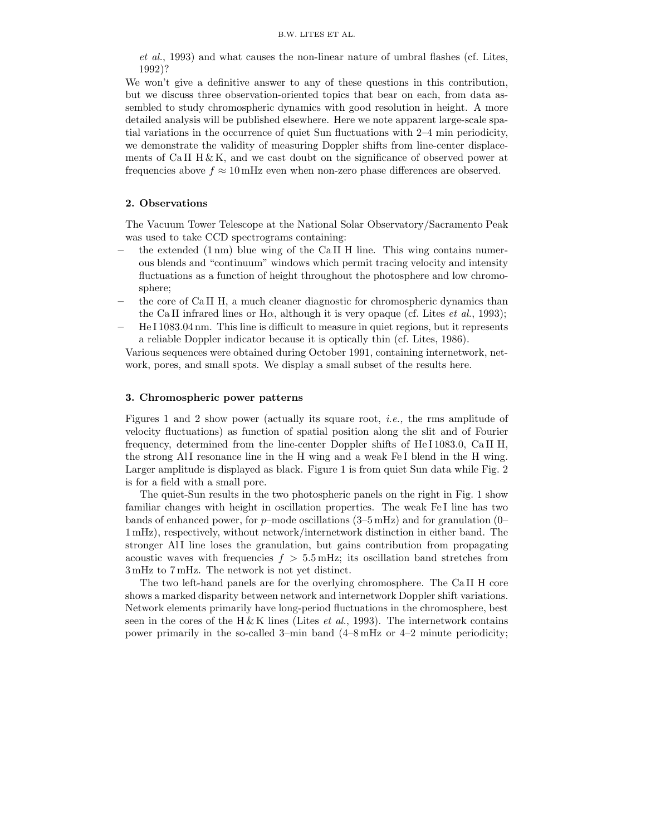*et al.*, 1993) and what causes the non-linear nature of umbral flashes (cf. Lites, 1992)?

We won't give a definitive answer to any of these questions in this contribution, but we discuss three observation-oriented topics that bear on each, from data assembled to study chromospheric dynamics with good resolution in height. A more detailed analysis will be published elsewhere. Here we note apparent large-scale spatial variations in the occurrence of quiet Sun fluctuations with 2–4 min periodicity, we demonstrate the validity of measuring Doppler shifts from line-center displacements of CaII  $H \& K$ , and we cast doubt on the significance of observed power at frequencies above  $f \approx 10 \text{ mHz}$  even when non-zero phase differences are observed.

## **2. Observations**

The Vacuum Tower Telescope at the National Solar Observatory/Sacramento Peak was used to take CCD spectrograms containing:

- **–** the extended (1 nm) blue wing of the Ca II H line. This wing contains numerous blends and "continuum" windows which permit tracing velocity and intensity fluctuations as a function of height throughout the photosphere and low chromosphere;
- **–** the core of Ca II H, a much cleaner diagnostic for chromospheric dynamics than the Ca II infrared lines or H $\alpha$ , although it is very opaque (cf. Lites *et al.*, 1993);
- **–** He I 1083.04 nm. This line is difficult to measure in quiet regions, but it represents a reliable Doppler indicator because it is optically thin (cf. Lites, 1986).

Various sequences were obtained during October 1991, containing internetwork, network, pores, and small spots. We display a small subset of the results here.

### **3. Chromospheric power patterns**

Figures 1 and 2 show power (actually its square root, *i.e.,* the rms amplitude of velocity fluctuations) as function of spatial position along the slit and of Fourier frequency, determined from the line-center Doppler shifts of He I 1083.0, Ca II H, the strong AlI resonance line in the H wing and a weak Fe I blend in the H wing. Larger amplitude is displayed as black. Figure 1 is from quiet Sun data while Fig. 2 is for a field with a small pore.

The quiet-Sun results in the two photospheric panels on the right in Fig. 1 show familiar changes with height in oscillation properties. The weak Fe I line has two bands of enhanced power, for p–mode oscillations  $(3-5 \text{ mHz})$  and for granulation  $(0-$ 1 mHz), respectively, without network/internetwork distinction in either band. The stronger AlI line loses the granulation, but gains contribution from propagating acoustic waves with frequencies  $f > 5.5$  mHz; its oscillation band stretches from 3 mHz to 7 mHz. The network is not yet distinct.

The two left-hand panels are for the overlying chromosphere. The Ca II H core shows a marked disparity between network and internetwork Doppler shift variations. Network elements primarily have long-period fluctuations in the chromosphere, best seen in the cores of the H & K lines (Lites *et al.*, 1993). The internetwork contains power primarily in the so-called 3–min band (4–8 mHz or 4–2 minute periodicity;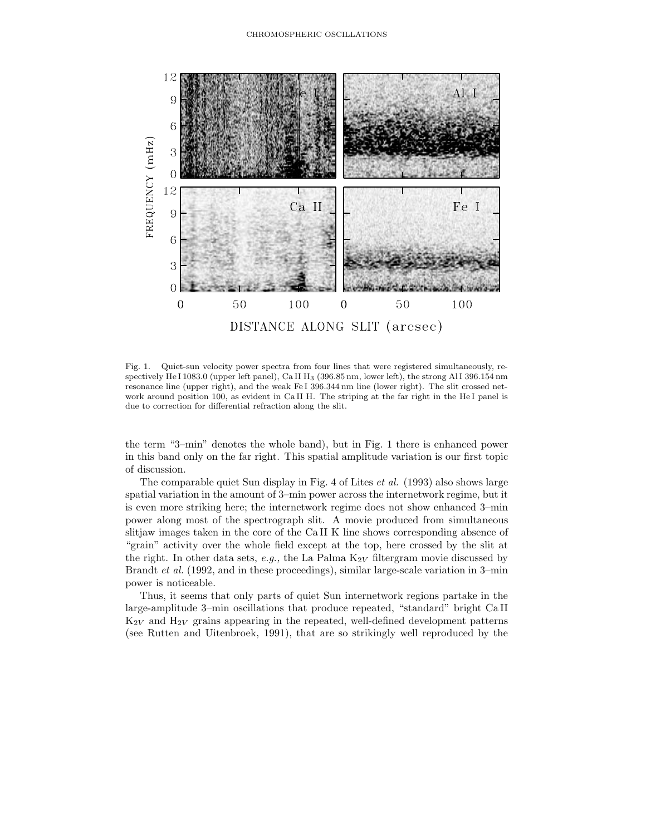

Fig. 1. Quiet-sun velocity power spectra from four lines that were registered simultaneously, respectively He I 1083.0 (upper left panel), Ca II H<sub>3</sub> (396.85 nm, lower left), the strong Al I 396.154 nm resonance line (upper right), and the weak Fe I 396.344 nm line (lower right). The slit crossed network around position 100, as evident in Ca II H. The striping at the far right in the He I panel is due to correction for differential refraction along the slit.

the term "3–min" denotes the whole band), but in Fig. 1 there is enhanced power in this band only on the far right. This spatial amplitude variation is our first topic of discussion.

The comparable quiet Sun display in Fig. 4 of Lites *et al.* (1993) also shows large spatial variation in the amount of 3–min power across the internetwork regime, but it is even more striking here; the internetwork regime does not show enhanced 3–min power along most of the spectrograph slit. A movie produced from simultaneous slitjaw images taken in the core of the Ca II K line shows corresponding absence of "grain" activity over the whole field except at the top, here crossed by the slit at the right. In other data sets,  $e.g.,$  the La Palma  $K_{2V}$  filtergram movie discussed by Brandt *et al.* (1992, and in these proceedings), similar large-scale variation in 3–min power is noticeable.

Thus, it seems that only parts of quiet Sun internetwork regions partake in the large-amplitude 3–min oscillations that produce repeated, "standard" bright Ca II  $K_{2V}$  and  $H_{2V}$  grains appearing in the repeated, well-defined development patterns (see Rutten and Uitenbroek, 1991), that are so strikingly well reproduced by the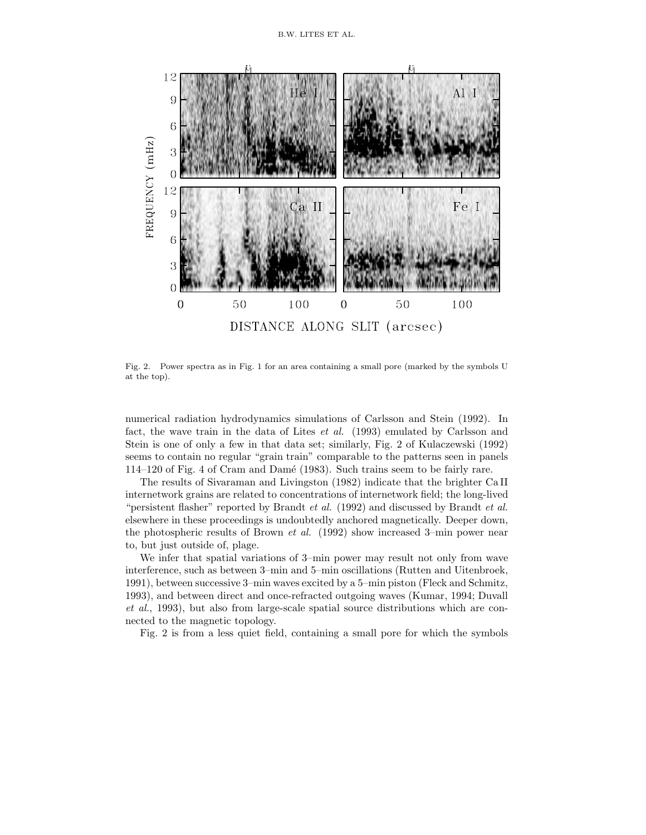

Fig. 2. Power spectra as in Fig. 1 for an area containing a small pore (marked by the symbols U at the top).

numerical radiation hydrodynamics simulations of Carlsson and Stein (1992). In fact, the wave train in the data of Lites *et al.* (1993) emulated by Carlsson and Stein is one of only a few in that data set; similarly, Fig. 2 of Kulaczewski (1992) seems to contain no regular "grain train" comparable to the patterns seen in panels 114–120 of Fig. 4 of Cram and Damé (1983). Such trains seem to be fairly rare.

The results of Sivaraman and Livingston (1982) indicate that the brighter Ca II internetwork grains are related to concentrations of internetwork field; the long-lived "persistent flasher" reported by Brandt *et al.* (1992) and discussed by Brandt *et al.* elsewhere in these proceedings is undoubtedly anchored magnetically. Deeper down, the photospheric results of Brown *et al.* (1992) show increased 3–min power near to, but just outside of, plage.

We infer that spatial variations of 3–min power may result not only from wave interference, such as between 3–min and 5–min oscillations (Rutten and Uitenbroek, 1991), between successive 3–min waves excited by a 5–min piston (Fleck and Schmitz, 1993), and between direct and once-refracted outgoing waves (Kumar, 1994; Duvall *et al.*, 1993), but also from large-scale spatial source distributions which are connected to the magnetic topology.

Fig. 2 is from a less quiet field, containing a small pore for which the symbols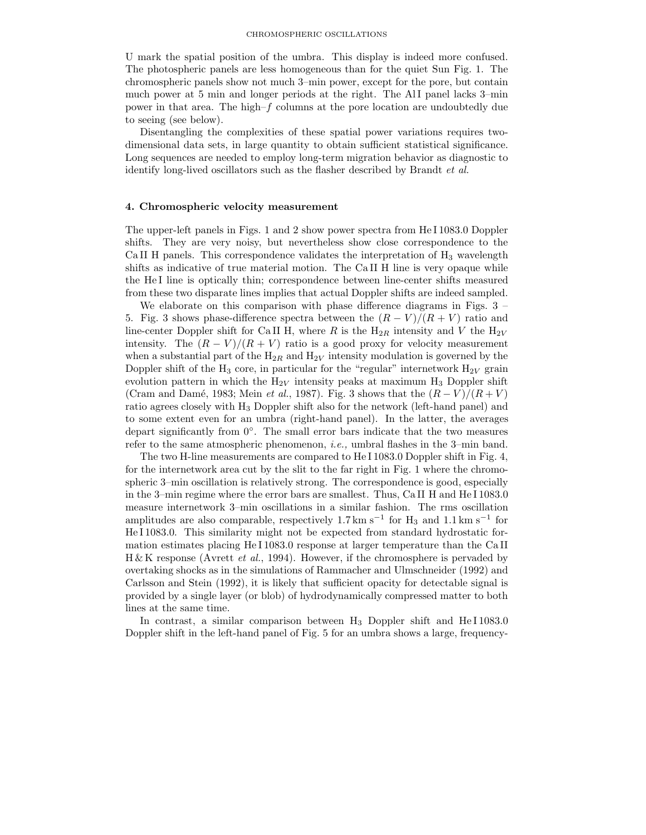Umark the spatial position of the umbra. This display is indeed more confused. The photospheric panels are less homogeneous than for the quiet Sun Fig. 1. The chromospheric panels show not much 3–min power, except for the pore, but contain much power at 5 min and longer periods at the right. The AlI panel lacks 3-min power in that area. The high– $f$  columns at the pore location are undoubtedly due to seeing (see below).

Disentangling the complexities of these spatial power variations requires twodimensional data sets, in large quantity to obtain sufficient statistical significance. Long sequences are needed to employ long-term migration behavior as diagnostic to identify long-lived oscillators such as the flasher described by Brandt *et al.*

## **4. Chromospheric velocity measurement**

The upper-left panels in Figs. 1 and 2 show power spectra from He I 1083.0 Doppler shifts. They are very noisy, but nevertheless show close correspondence to the Ca II H panels. This correspondence validates the interpretation of  $H_3$  wavelength shifts as indicative of true material motion. The Ca II H line is very opaque while the He I line is optically thin; correspondence between line-center shifts measured from these two disparate lines implies that actual Doppler shifts are indeed sampled.

We elaborate on this comparison with phase difference diagrams in Figs. 3 – 5. Fig. 3 shows phase-difference spectra between the  $(R - V)/(R + V)$  ratio and line-center Doppler shift for Ca II H, where R is the  $H_{2R}$  intensity and V the  $H_{2V}$ intensity. The  $(R - V)/(R + V)$  ratio is a good proxy for velocity measurement when a substantial part of the  $H_{2R}$  and  $H_{2V}$  intensity modulation is governed by the Doppler shift of the  $H_3$  core, in particular for the "regular" internetwork  $H_{2V}$  grain evolution pattern in which the  $H_{2V}$  intensity peaks at maximum  $H_3$  Doppler shift (Cram and Damé, 1983; Mein *et al.*, 1987). Fig. 3 shows that the  $(R - V)/(R + V)$ ratio agrees closely with H<sup>3</sup> Doppler shift also for the network (left-hand panel) and to some extent even for an umbra (right-hand panel). In the latter, the averages depart significantly from 0◦. The small error bars indicate that the two measures refer to the same atmospheric phenomenon, *i.e.,* umbral flashes in the 3–min band.

The two H-line measurements are compared to He I 1083.0 Doppler shift in Fig. 4, for the internetwork area cut by the slit to the far right in Fig. 1 where the chromospheric 3–min oscillation is relatively strong. The correspondence is good, especially in the 3–min regime where the error bars are smallest. Thus, Ca II H and He I 1083.0 measure internetwork 3–min oscillations in a similar fashion. The rms oscillation amplitudes are also comparable, respectively 1.7 km s<sup>-1</sup> for H<sub>3</sub> and 1.1 km s<sup>-1</sup> for He I 1083.0. This similarity might not be expected from standard hydrostatic formation estimates placing He I 1083.0 response at larger temperature than the Ca II H & K response (Avrett *et al.*, 1994). However, if the chromosphere is pervaded by overtaking shocks as in the simulations of Rammacher and Ulmschneider (1992) and Carlsson and Stein (1992), it is likely that sufficient opacity for detectable signal is provided by a single layer (or blob) of hydrodynamically compressed matter to both lines at the same time.

In contrast, a similar comparison between H<sub>3</sub> Doppler shift and He I1083.0 Doppler shift in the left-hand panel of Fig. 5 for an umbra shows a large, frequency-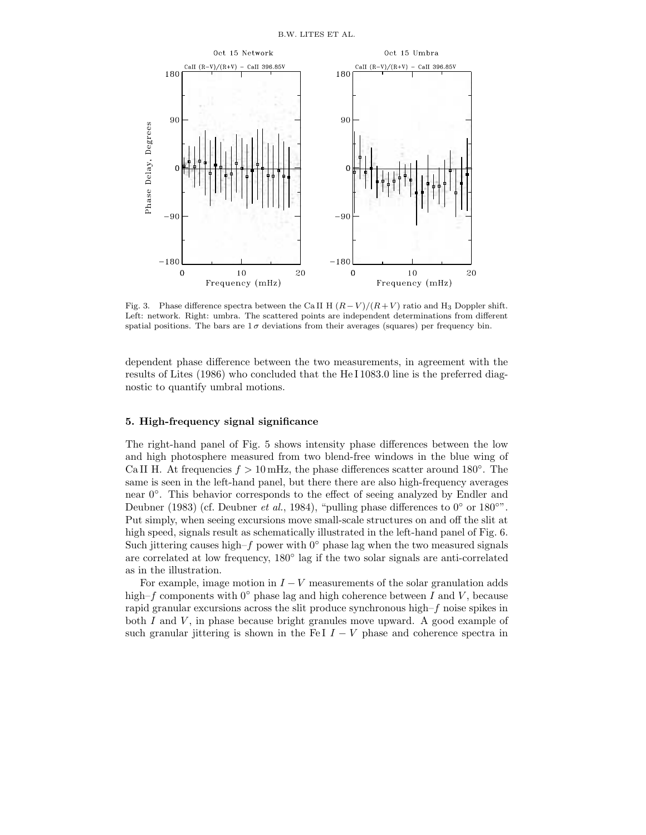

Fig. 3. Phase difference spectra between the Ca II H  $(R - V)/(R + V)$  ratio and H<sub>3</sub> Doppler shift. Left: network. Right: umbra. The scattered points are independent determinations from different spatial positions. The bars are  $1\sigma$  deviations from their averages (squares) per frequency bin.

dependent phase difference between the two measurements, in agreement with the results of Lites (1986) who concluded that the He I 1083.0 line is the preferred diagnostic to quantify umbral motions.

# **5. High-frequency signal significance**

The right-hand panel of Fig. 5 shows intensity phase differences between the low and high photosphere measured from two blend-free windows in the blue wing of Ca II H. At frequencies  $f > 10$  mHz, the phase differences scatter around 180 $^{\circ}$ . The same is seen in the left-hand panel, but there there are also high-frequency averages near 0◦. This behavior corresponds to the effect of seeing analyzed by Endler and Deubner (1983) (cf. Deubner *et al.*, 1984), "pulling phase differences to 0◦ or 180◦". Put simply, when seeing excursions move small-scale structures on and off the slit at high speed, signals result as schematically illustrated in the left-hand panel of Fig. 6. Such jittering causes high–f power with  $0°$  phase lag when the two measured signals are correlated at low frequency, 180◦ lag if the two solar signals are anti-correlated as in the illustration.

For example, image motion in  $I - V$  measurements of the solar granulation adds high–f components with  $0^\circ$  phase lag and high coherence between I and V, because rapid granular excursions across the slit produce synchronous high– $f$  noise spikes in both  $I$  and  $V$ , in phase because bright granules move upward. A good example of such granular jittering is shown in the Fe I  $I - V$  phase and coherence spectra in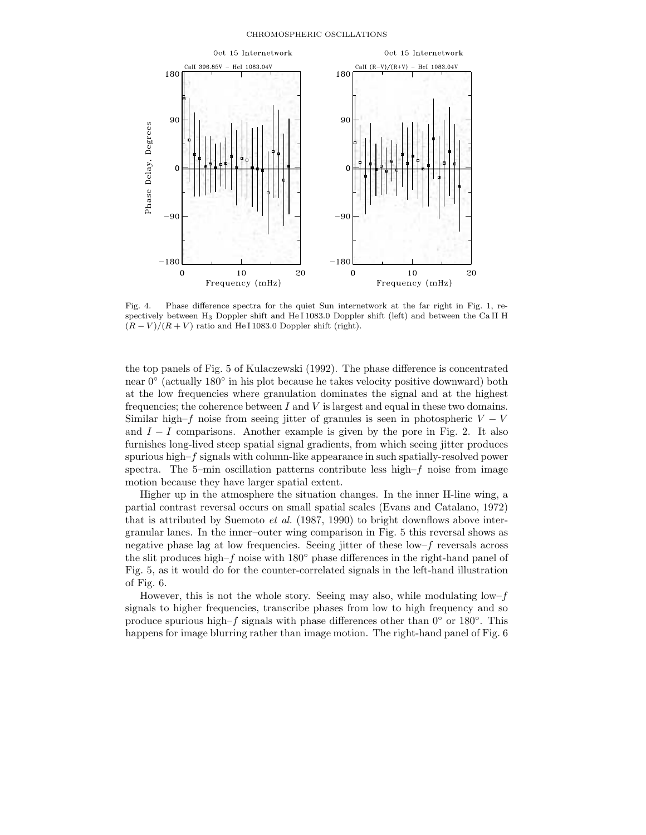

Fig. 4. Phase difference spectra for the quiet Sun internetwork at the far right in Fig. 1, respectively between H<sup>3</sup> Doppler shift and He I 1083.0 Doppler shift (left) and between the Ca II H  $(R - V)/(R + V)$  ratio and He I 1083.0 Doppler shift (right).

the top panels of Fig. 5 of Kulaczewski (1992). The phase difference is concentrated near 0◦ (actually 180◦ in his plot because he takes velocity positive downward) both at the low frequencies where granulation dominates the signal and at the highest frequencies; the coherence between  $I$  and  $V$  is largest and equal in these two domains. Similar high–f noise from seeing jitter of granules is seen in photospheric  $V - V$ and  $I - I$  comparisons. Another example is given by the pore in Fig. 2. It also furnishes long-lived steep spatial signal gradients, from which seeing jitter produces spurious high– $f$  signals with column-like appearance in such spatially-resolved power spectra. The 5-min oscillation patterns contribute less high– $f$  noise from image motion because they have larger spatial extent.

Higher up in the atmosphere the situation changes. In the inner H-line wing, a partial contrast reversal occurs on small spatial scales (Evans and Catalano, 1972) that is attributed by Suemoto *et al.* (1987, 1990) to bright downflows above intergranular lanes. In the inner–outer wing comparison in Fig. 5 this reversal shows as negative phase lag at low frequencies. Seeing jitter of these  $\text{low-}f$  reversals across the slit produces high–f noise with  $180°$  phase differences in the right-hand panel of Fig. 5, as it would do for the counter-correlated signals in the left-hand illustration of Fig. 6.

However, this is not the whole story. Seeing may also, while modulating  $\text{low-}f$ signals to higher frequencies, transcribe phases from low to high frequency and so produce spurious high–f signals with phase differences other than  $0°$  or  $180°$ . This happens for image blurring rather than image motion. The right-hand panel of Fig. 6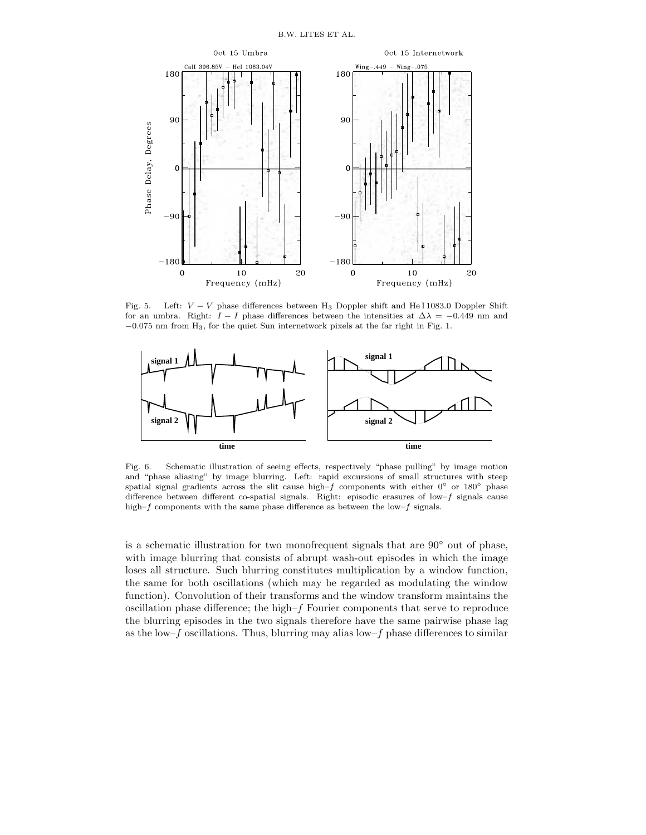

Fig. 5. Left: V *−* V phase differences between H<sup>3</sup> Doppler shift and He I 1083.0 Doppler Shift for an umbra. Right:  $I - I$  phase differences between the intensities at  $\Delta\lambda = -0.449$  nm and *−*0.075 nm from H3, for the quiet Sun internetwork pixels at the far right in Fig. 1.



Fig. 6. Schematic illustration of seeing effects, respectively "phase pulling" by image motion and "phase aliasing" by image blurring. Left: rapid excursions of small structures with steep spatial signal gradients across the slit cause high–f components with either  $0°$  or  $180°$  phase difference between different co-spatial signals. Right: episodic erasures of low–f signals cause high–f components with the same phase difference as between the low–f signals.

is a schematic illustration for two monofrequent signals that are 90◦ out of phase, with image blurring that consists of abrupt wash-out episodes in which the image loses all structure. Such blurring constitutes multiplication by a window function, the same for both oscillations (which may be regarded as modulating the window function). Convolution of their transforms and the window transform maintains the oscillation phase difference; the high–f Fourier components that serve to reproduce the blurring episodes in the two signals therefore have the same pairwise phase lag as the low– $f$  oscillations. Thus, blurring may alias low– $f$  phase differences to similar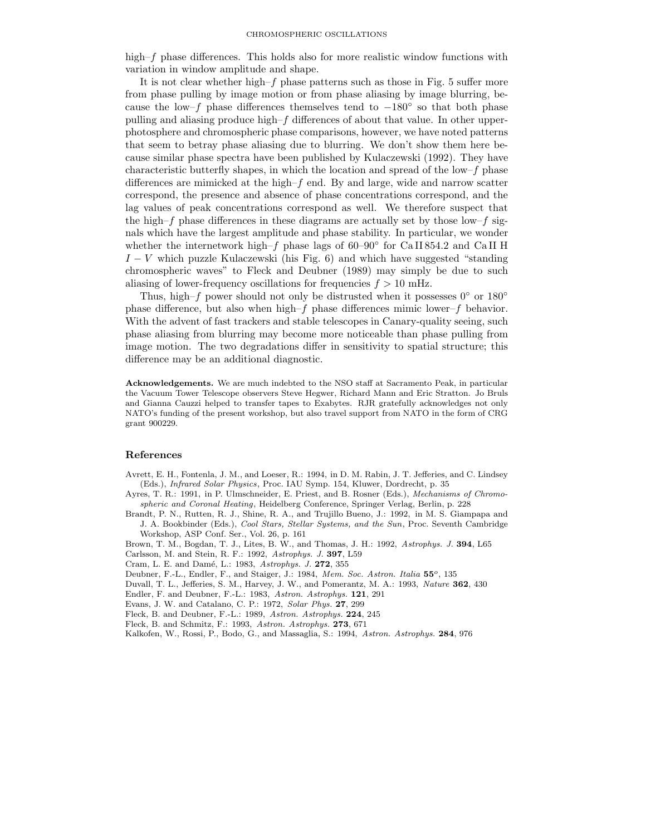high–f phase differences. This holds also for more realistic window functions with variation in window amplitude and shape.

It is not clear whether high– $f$  phase patterns such as those in Fig. 5 suffer more from phase pulling by image motion or from phase aliasing by image blurring, because the low–f phase differences themselves tend to  $-180°$  so that both phase pulling and aliasing produce high–f differences of about that value. In other upperphotosphere and chromospheric phase comparisons, however, we have noted patterns that seem to betray phase aliasing due to blurring. We don't show them here because similar phase spectra have been published by Kulaczewski (1992). They have characteristic butterfly shapes, in which the location and spread of the low–f phase differences are mimicked at the high– $f$  end. By and large, wide and narrow scatter correspond, the presence and absence of phase concentrations correspond, and the lag values of peak concentrations correspond as well. We therefore suspect that the high–f phase differences in these diagrams are actually set by those low–f signals which have the largest amplitude and phase stability. In particular, we wonder whether the internetwork high–f phase lags of  $60-90°$  for CaII 854.2 and CaII H  $I - V$  which puzzle Kulaczewski (his Fig. 6) and which have suggested "standing" chromospheric waves" to Fleck and Deubner (1989) may simply be due to such aliasing of lower-frequency oscillations for frequencies  $f > 10$  mHz.

Thus, high–f power should not only be distrusted when it possesses  $0°$  or  $180°$ phase difference, but also when high–f phase differences mimic lower–f behavior. With the advent of fast trackers and stable telescopes in Canary-quality seeing, such phase aliasing from blurring may become more noticeable than phase pulling from image motion. The two degradations differ in sensitivity to spatial structure; this difference may be an additional diagnostic.

**Acknowledgements.** We are much indebted to the NSO staff at Sacramento Peak, in particular the Vacuum Tower Telescope observers Steve Hegwer, Richard Mann and Eric Stratton. Jo Bruls and Gianna Cauzzi helped to transfer tapes to Exabytes. RJR gratefully acknowledges not only NATO's funding of the present workshop, but also travel support from NATO in the form of CRG grant 900229.

#### **References**

- Avrett, E. H., Fontenla, J. M., and Loeser, R.: 1994, in D. M. Rabin, J. T. Jefferies, and C. Lindsey (Eds.), *Infrared Solar Physics*, Proc. IAU Symp. 154, Kluwer, Dordrecht, p. 35
- Ayres, T. R.: 1991, in P. Ulmschneider, E. Priest, and B. Rosner (Eds.), *Mechanisms of Chromospheric and Coronal Heating*, Heidelberg Conference, Springer Verlag, Berlin, p. 228
- Brandt, P. N., Rutten, R. J., Shine, R. A., and Trujillo Bueno, J.: 1992, in M. S. Giampapa and J. A. Bookbinder (Eds.), *Cool Stars, Stellar Systems, and the Sun*, Proc. Seventh Cambridge Workshop, ASP Conf. Ser., Vol. 26, p. 161
- Brown, T. M., Bogdan, T. J., Lites, B. W., and Thomas, J. H.: 1992, *Astrophys. J.* **394**, L65

Carlsson, M. and Stein, R. F.: 1992, *Astrophys. J.* **397**, L59

- Cram, L. E. and Dam´e, L.: 1983, *Astrophys. J.* **272**, 355
- Deubner, F.-L., Endler, F., and Staiger, J.: 1984, *Mem. Soc. Astron. Italia* **55***o*, 135
- Duvall, T. L., Jefferies, S. M., Harvey, J. W., and Pomerantz, M. A.: 1993, *Nature* **362**, 430
- Endler, F. and Deubner, F.-L.: 1983, *Astron. Astrophys.* **121**, 291
- Evans, J. W. and Catalano, C. P.: 1972, *Solar Phys.* **27**, 299
- Fleck, B. and Deubner, F.-L.: 1989, *Astron. Astrophys.* **224**, 245
- Fleck, B. and Schmitz, F.: 1993, *Astron. Astrophys.* **273**, 671
- Kalkofen, W., Rossi, P., Bodo, G., and Massaglia, S.: 1994, *Astron. Astrophys.* **284**, 976